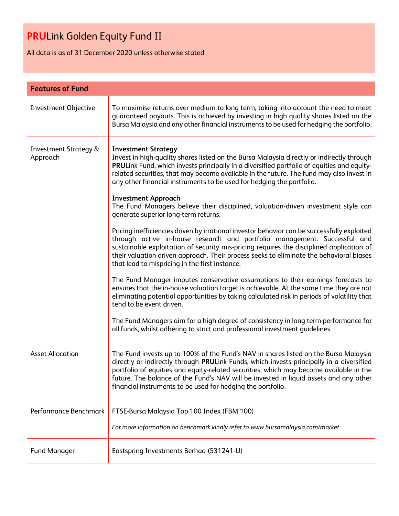All data is as of 31 December 2020 unless otherwise stated

| <b>Features of Fund</b>                      |                                                                                                                                                                                                                                                                                                                                                                                                                                    |  |
|----------------------------------------------|------------------------------------------------------------------------------------------------------------------------------------------------------------------------------------------------------------------------------------------------------------------------------------------------------------------------------------------------------------------------------------------------------------------------------------|--|
| Investment Objective                         | To maximise returns over medium to long term, taking into account the need to meet<br>guaranteed payouts. This is achieved by investing in high quality shares listed on the<br>Bursa Malaysia and any other financial instruments to be used for hedging the portfolio.                                                                                                                                                           |  |
| <b>Investment Strategy &amp;</b><br>Approach | <b>Investment Strategy</b><br>Invest in high-quality shares listed on the Bursa Malaysia directly or indirectly through<br>PRULink Fund, which invests principally in a diversified portfolio of equities and equity-<br>related securities, that may become available in the future. The fund may also invest in<br>any other financial instruments to be used for hedging the portfolio.<br><b>Investment Approach</b>           |  |
|                                              | The Fund Managers believe their disciplined, valuation-driven investment style can<br>generate superior long-term returns.                                                                                                                                                                                                                                                                                                         |  |
|                                              | Pricing inefficiencies driven by irrational investor behavior can be successfully exploited<br>through active in-house research and portfolio management. Successful and<br>sustainable exploitation of security mis-pricing requires the disciplined application of<br>their valuation driven approach. Their process seeks to eliminate the behavioral biases<br>that lead to mispricing in the first instance.                  |  |
|                                              | The Fund Manager imputes conservative assumptions to their earnings forecasts to<br>ensures that the in-house valuation target is achievable. At the same time they are not<br>eliminating potential opportunities by taking calculated risk in periods of volatility that<br>tend to be event driven.                                                                                                                             |  |
|                                              | The Fund Managers aim for a high degree of consistency in long term performance for<br>all funds, whilst adhering to strict and professional investment guidelines.                                                                                                                                                                                                                                                                |  |
| <b>Asset Allocation</b>                      | The Fund invests up to 100% of the Fund's NAV in shares listed on the Bursa Malaysia<br>directly or indirectly through PRULink Funds, which invests principally in a diversified<br>portfolio of equities and equity-related securities, which may become available in the<br>future. The balance of the Fund's NAV will be invested in liquid assets and any other<br>financial instruments to be used for hedging the portfolio. |  |
| Performance Benchmark                        | FTSE-Bursa Malaysia Top 100 Index (FBM 100)<br>For more information on benchmark kindly refer to www.bursamalaysia.com/market                                                                                                                                                                                                                                                                                                      |  |
| <b>Fund Manager</b>                          | Eastspring Investments Berhad (531241-U)                                                                                                                                                                                                                                                                                                                                                                                           |  |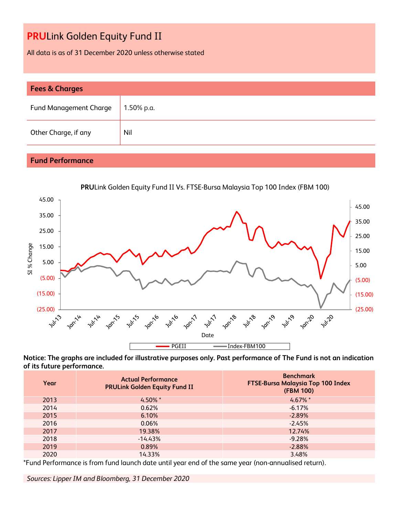All data is as of 31 December 2020 unless otherwise stated

| <b>Fees &amp; Charges</b>     |            |  |  |
|-------------------------------|------------|--|--|
| <b>Fund Management Charge</b> | 1.50% p.a. |  |  |
| Other Charge, if any          | Nil        |  |  |

### **Fund Performance**



**Notice: The graphs are included for illustrative purposes only. Past performance of The Fund is not an indication of its future performance.**

| Year | <b>Actual Performance</b><br><b>PRULink Golden Equity Fund II</b> | <b>Benchmark</b><br>FTSE-Bursa Malaysia Top 100 Index<br>(FBM 100) |
|------|-------------------------------------------------------------------|--------------------------------------------------------------------|
| 2013 | $4.50\%$ *                                                        | $4.67\%$ *                                                         |
| 2014 | 0.62%                                                             | $-6.17%$                                                           |
| 2015 | 6.10%                                                             | $-2.89%$                                                           |
| 2016 | 0.06%                                                             | $-2.45%$                                                           |
| 2017 | 19.38%                                                            | 12.74%                                                             |
| 2018 | $-14.43%$                                                         | $-9.28%$                                                           |
| 2019 | 0.89%                                                             | $-2.88%$                                                           |
| 2020 | 14.33%                                                            | 3.48%                                                              |

\*Fund Performance is from fund launch date until year end of the same year (non-annualised return).

*Sources: Lipper IM and Bloomberg, 31 December 2020*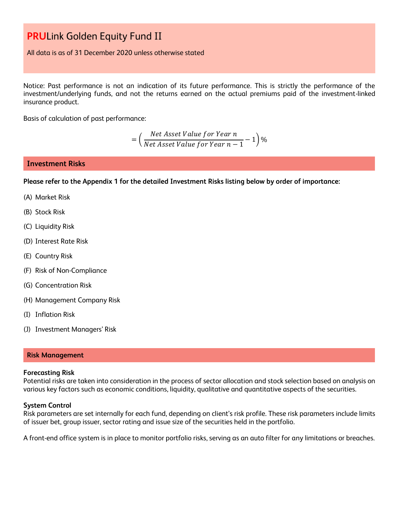All data is as of 31 December 2020 unless otherwise stated

Notice: Past performance is not an indication of its future performance. This is strictly the performance of the investment/underlying funds, and not the returns earned on the actual premiums paid of the investment-linked insurance product.

Basis of calculation of past performance:

= ( Net Asset Value for Year n  $\frac{1}{\sqrt{1-\frac{1}{n}}}$  1)%<br>Net Asset Value for Year  $n-1$ 

#### **Investment Risks**

**Please refer to the Appendix 1 for the detailed Investment Risks listing below by order of importance:**

- (A) Market Risk
- (B) Stock Risk
- (C) Liquidity Risk
- (D) Interest Rate Risk
- (E) Country Risk
- (F) Risk of Non-Compliance
- (G) Concentration Risk
- (H) Management Company Risk
- (I) Inflation Risk
- (J) Investment Managers' Risk

#### **Risk Management**

#### **Forecasting Risk**

Potential risks are taken into consideration in the process of sector allocation and stock selection based on analysis on various key factors such as economic conditions, liquidity, qualitative and quantitative aspects of the securities.

#### **System Control**

Risk parameters are set internally for each fund, depending on client's risk profile. These risk parameters include limits of issuer bet, group issuer, sector rating and issue size of the securities held in the portfolio.

A front-end office system is in place to monitor portfolio risks, serving as an auto filter for any limitations or breaches.